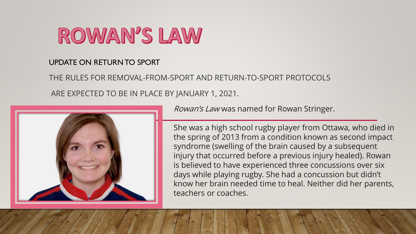

# UPDATE ON RETURN TO SPORT

THE RULES FOR REMOVAL-FROM-SPORT AND RETURN-TO-SPORT PROTOCOLS ARE EXPECTED TO BE IN PLACE BY JANUARY 1, 2021.



Rowan's Law was named for Rowan Stringer.

She was a high school rugby player from Ottawa, who died in the spring of 2013 from a condition known as second impact syndrome (swelling of the brain caused by a subsequent injury that occurred before a previous injury healed). Rowan is believed to have experienced three concussions over six days while playing rugby. She had a concussion but didn't know her brain needed time to heal. Neither did her parents, teachers or coaches.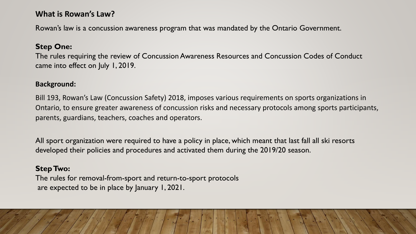## **What is Rowan's Law?**

Rowan's law is a concussion awareness program that was mandated by the Ontario Government.

#### **Step One:**

The rules requiring the review of Concussion Awareness Resources and Concussion Codes of Conduct came into effect on July 1, 2019.

#### **Background:**

Bill 193, Rowan's Law (Concussion Safety) 2018, imposes various requirements on sports organizations in Ontario, to ensure greater awareness of concussion risks and necessary protocols among sports participants, parents, guardians, teachers, coaches and operators.

All sport organization were required to have a policy in place, which meant that last fall all ski resorts developed their policies and procedures and activated them during the 2019/20 season.

#### **Step Two:**

The rules for removal-from-sport and return-to-sport protocols are expected to be in place by January 1, 2021.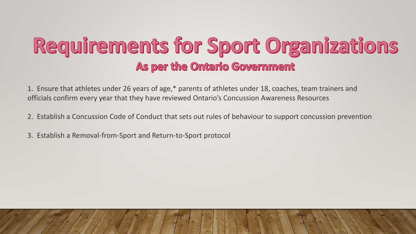# Requirements for Sport Organizations As per the Ontario Government

1. Ensure that athletes under 26 years of age,\* parents of athletes under 18, coaches, team trainers and officials confirm every year that they have reviewed Ontario's Concussion Awareness Resources

- 2. Establish a Concussion Code of Conduct that sets out rules of behaviour to support concussion prevention
- 3. Establish a Removal-from-Sport and Return-to-Sport protocol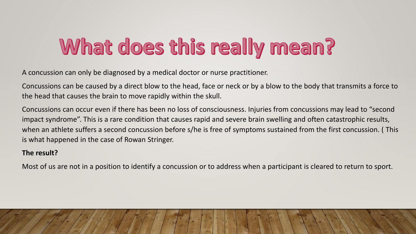# What does this really mean?

A concussion can only be diagnosed by a medical doctor or nurse practitioner.

Concussions can be caused by a direct blow to the head, face or neck or by a blow to the body that transmits a force to the head that causes the brain to move rapidly within the skull.

Concussions can occur even if there has been no loss of consciousness. Injuries from concussions may lead to "second impact syndrome". This is a rare condition that causes rapid and severe brain swelling and often catastrophic results, when an athlete suffers a second concussion before s/he is free of symptoms sustained from the first concussion. ( This is what happened in the case of Rowan Stringer.

#### **The result?**

Most of us are not in a position to identify a concussion or to address when a participant is cleared to return to sport.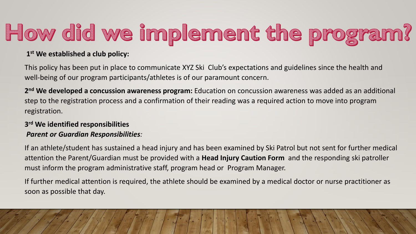# How did we implement the program?

### **1 st We established a club policy:**

This policy has been put in place to communicate XYZ Ski Club's expectations and guidelines since the health and well-being of our program participants/athletes is of our paramount concern.

**2 nd We developed a concussion awareness program:** Education on concussion awareness was added as an additional step to the registration process and a confirmation of their reading was a required action to move into program registration.

### **3 rd We identified responsibilities** *Parent or Guardian Responsibilities:*

If an athlete/student has sustained a head injury and has been examined by Ski Patrol but not sent for further medical attention the Parent/Guardian must be provided with a **Head Injury Caution Form** and the responding ski patroller must inform the program administrative staff, program head or Program Manager.

If further medical attention is required, the athlete should be examined by a medical doctor or nurse practitioner as soon as possible that day.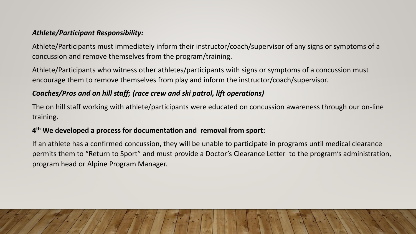#### *Athlete/Participant Responsibility:*

Athlete/Participants must immediately inform their instructor/coach/supervisor of any signs or symptoms of a concussion and remove themselves from the program/training.

Athlete/Participants who witness other athletes/participants with signs or symptoms of a concussion must encourage them to remove themselves from play and inform the instructor/coach/supervisor.

### *Coaches/Pros and on hill staff; (race crew and ski patrol, lift operations)*

The on hill staff working with athlete/participants were educated on concussion awareness through our on-line training.

#### **4 th We developed a process for documentation and removal from sport:**

If an athlete has a confirmed concussion, they will be unable to participate in programs until medical clearance permits them to "Return to Sport" and must provide a Doctor's Clearance Letter to the program's administration, program head or Alpine Program Manager.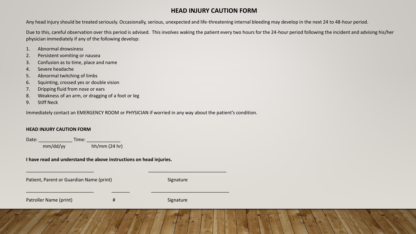#### **HEAD INJURY CAUTION FORM**

Any head injury should be treated seriously. Occasionally, serious, unexpected and life-threatening internal bleeding may develop in the next 24 to 48-hour period.

Due to this, careful observation over this period is advised. This involves waking the patient every two hours for the 24-hour period following the incident and advising his/her physician immediately if any of the following develop:

- 1. Abnormal drowsiness
- 2. Persistent vomiting or nausea
- 3. Confusion as to time, place and name
- 4. Severe headache
- 5. Abnormal twitching of limbs
- 6. Squinting, crossed yes or double vision
- 7. Dripping fluid from nose or ears
- 8. Weakness of an arm, or dragging of a foot or leg
- 9. Stiff Neck

Immediately contact an EMERGENCY ROOM or PHYSICIAN if worried in any way about the patient's condition.

#### **HEAD INJURY CAUTION FORM**

Date: \_\_\_\_\_\_\_\_\_\_\_\_\_ Time: \_\_\_\_\_\_\_\_\_\_\_\_\_ mm/dd/yy hh/mm (24 hr)

**I have read and understand the above instructions on head injuries.**

Patient, Parent or Guardian Name (print) Signature

| Patroller Name (print) |  |
|------------------------|--|
|------------------------|--|

 $\overline{\phantom{a}}$  , and the contribution of the contribution of the contribution of the contribution of the contribution of the contribution of the contribution of the contribution of the contribution of the contribution of the

\_\_\_\_\_\_\_\_\_\_\_\_\_\_\_\_\_\_\_\_\_\_\_\_\_\_ \_\_\_\_\_\_\_ \_\_\_\_\_\_\_\_\_\_\_\_\_\_\_\_\_\_\_\_\_\_\_\_\_\_\_\_\_\_

Patroller Name (print) # Signature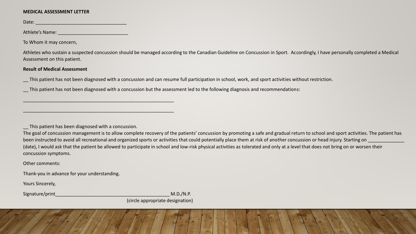#### **MEDICAL ASSESSMENT LETTER**

Date: \_\_\_\_\_\_\_\_\_\_\_\_\_\_\_\_\_\_\_\_\_\_\_\_\_\_\_\_\_\_\_\_\_\_\_

Athlete's Name: \_\_\_\_\_\_\_\_\_\_\_\_\_\_\_\_\_\_\_\_\_\_\_\_\_\_\_

To Whom it may concern,

Athletes who sustain a suspected concussion should be managed according to the Canadian Guideline on Concussion in Sport. Accordingly, I have personally completed a Medical Assessment on this patient.

#### **Result of Medical Assessment**

\_\_ This patient has not been diagnosed with a concussion and can resume full participation in school, work, and sport activities without restriction.

\_\_ This patient has not been diagnosed with a concussion but the assessment led to the following diagnosis and recommendations:

This patient has been diagnosed with a concussion.

\_\_\_\_\_\_\_\_\_\_\_\_\_\_\_\_\_\_\_\_\_\_\_\_\_\_\_\_\_\_\_\_\_\_\_\_\_\_\_\_\_\_\_\_\_\_\_\_\_\_\_\_\_\_\_\_\_\_

\_\_\_\_\_\_\_\_\_\_\_\_\_\_\_\_\_\_\_\_\_\_\_\_\_\_\_\_\_\_\_\_\_\_\_\_\_\_\_\_\_\_\_\_\_\_\_\_\_\_\_\_\_\_\_\_\_\_

The goal of concussion management is to allow complete recovery of the patients' concussion by promoting a safe and gradual return to school and sport activities. The patient has been instructed to avoid all recreational and organized sports or activities that could potentially place them at risk of another concussion or head injury. Starting on (date), I would ask that the patient be allowed to participate in school and low-risk physical activities as tolerated and only at a level that does not bring on or worsen their concussion symptoms.

Other comments:

Thank-you in advance for your understanding.

Yours Sincerely,

Signature/print M.D./N.P.

(circle appropriate designation)